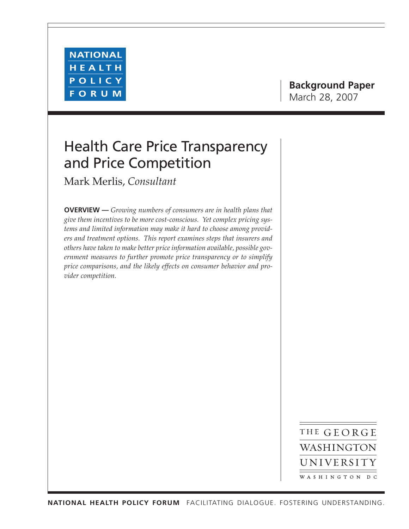

# Health Care Price Transparency and Price Competition

Mark Merlis, *Consultant*

**OVERVIEW —** *Growing numbers of consumers are in health plans that give them incentives to be more cost-conscious. Yet complex pricing systems and limited information may make it hard to choose among providers and treatment options. This report examines steps that insurers and others have taken to make better price information available, possible government measures to further promote price transparency or to simplify price comparisons, and the likely effects on consumer behavior and provider competition.*

> THE GEORGE WASHINGTON UNIVERSITY WASHINGTON DC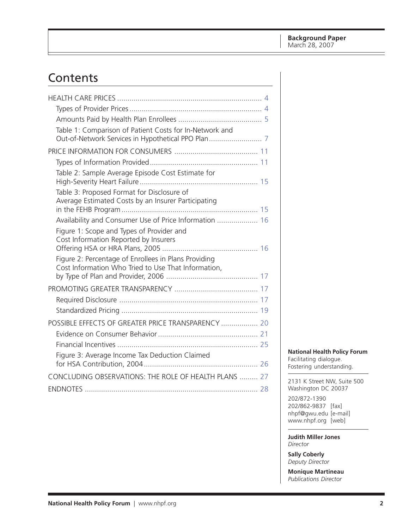# Contents

| Table 1: Comparison of Patient Costs for In-Network and<br>Table 2: Sample Average Episode Cost Estimate for<br>Table 3: Proposed Format for Disclosure of<br>Average Estimated Costs by an Insurer Participating<br>Availability and Consumer Use of Price Information  16<br>Figure 1: Scope and Types of Provider and<br>Cost Information Reported by Insurers<br>Figure 2: Percentage of Enrollees in Plans Providing<br>Cost Information Who Tried to Use That Information, |
|----------------------------------------------------------------------------------------------------------------------------------------------------------------------------------------------------------------------------------------------------------------------------------------------------------------------------------------------------------------------------------------------------------------------------------------------------------------------------------|
|                                                                                                                                                                                                                                                                                                                                                                                                                                                                                  |
|                                                                                                                                                                                                                                                                                                                                                                                                                                                                                  |
|                                                                                                                                                                                                                                                                                                                                                                                                                                                                                  |
|                                                                                                                                                                                                                                                                                                                                                                                                                                                                                  |
|                                                                                                                                                                                                                                                                                                                                                                                                                                                                                  |
|                                                                                                                                                                                                                                                                                                                                                                                                                                                                                  |
|                                                                                                                                                                                                                                                                                                                                                                                                                                                                                  |
|                                                                                                                                                                                                                                                                                                                                                                                                                                                                                  |
|                                                                                                                                                                                                                                                                                                                                                                                                                                                                                  |
|                                                                                                                                                                                                                                                                                                                                                                                                                                                                                  |
|                                                                                                                                                                                                                                                                                                                                                                                                                                                                                  |
|                                                                                                                                                                                                                                                                                                                                                                                                                                                                                  |
|                                                                                                                                                                                                                                                                                                                                                                                                                                                                                  |
|                                                                                                                                                                                                                                                                                                                                                                                                                                                                                  |
|                                                                                                                                                                                                                                                                                                                                                                                                                                                                                  |
| POSSIBLE EFFECTS OF GREATER PRICE TRANSPARENCY  20                                                                                                                                                                                                                                                                                                                                                                                                                               |
|                                                                                                                                                                                                                                                                                                                                                                                                                                                                                  |
|                                                                                                                                                                                                                                                                                                                                                                                                                                                                                  |
| Figure 3: Average Income Tax Deduction Claimed                                                                                                                                                                                                                                                                                                                                                                                                                                   |
| CONCLUDING OBSERVATIONS: THE ROLE OF HEALTH PLANS  27                                                                                                                                                                                                                                                                                                                                                                                                                            |
|                                                                                                                                                                                                                                                                                                                                                                                                                                                                                  |

# **National Health Policy Forum**

Facilitating dialogue. Fostering understanding.

2131 K Street NW, Suite 500 Washington DC 20037

202/872-1390 202/862-9837 [fax] [nhpf@gwu.edu \[e](mailto:nhpf@gwu.edu)-mail] [www.nhpf.org \[w](http://www.nhpf.org)eb]

**Judith Miller Jones** *Director*

**Sally Coberly** *Deputy Director*

**Monique Martineau** *Publications Director*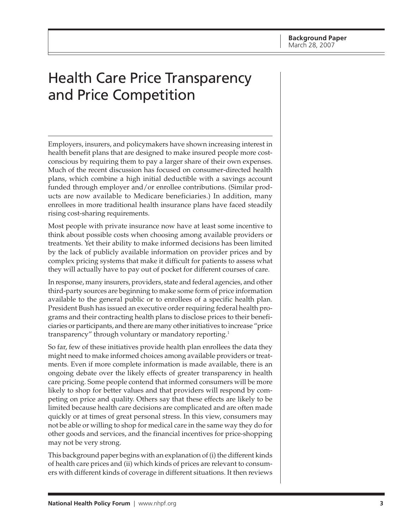# Health Care Price Transparency and Price Competition

Employers, insurers, and policymakers have shown increasing interest in health benefit plans that are designed to make insured people more costconscious by requiring them to pay a larger share of their own expenses. Much of the recent discussion has focused on consumer-directed health plans, which combine a high initial deductible with a savings account funded through employer and/or enrollee contributions. (Similar products are now available to Medicare beneficiaries.) In addition, many enrollees in more traditional health insurance plans have faced steadily rising cost-sharing requirements.

Most people with private insurance now have at least some incentive to think about possible costs when choosing among available providers or treatments. Yet their ability to make informed decisions has been limited by the lack of publicly available information on provider prices and by complex pricing systems that make it difficult for patients to assess what they will actually have to pay out of pocket for different courses of care.

In response, many insurers, providers, state and federal agencies, and other third-party sources are beginning to make some form of price information available to the general public or to enrollees of a specific health plan. President Bush has issued an executive order requiring federal health programs and their contracting health plans to disclose prices to their beneficiaries or participants, and there are many other initiatives to increase "price transparency" through voluntary or mandatory reporting.1

So far, few of these initiatives provide health plan enrollees the data they might need to make informed choices among available providers or treatments. Even if more complete information is made available, there is an ongoing debate over the likely effects of greater transparency in health care pricing. Some people contend that informed consumers will be more likely to shop for better values and that providers will respond by competing on price and quality. Others say that these effects are likely to be limited because health care decisions are complicated and are often made quickly or at times of great personal stress. In this view, consumers may not be able or willing to shop for medical care in the same way they do for other goods and services, and the financial incentives for price-shopping may not be very strong.

This background paper begins with an explanation of (i) the different kinds of health care prices and (ii) which kinds of prices are relevant to consumers with different kinds of coverage in different situations. It then reviews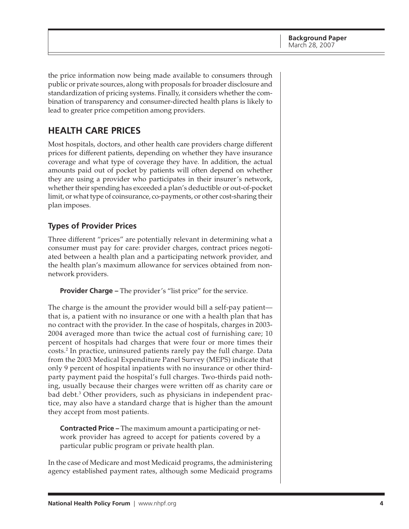<span id="page-3-0"></span>the price information now being made available to consumers through public or private sources, along with proposals for broader disclosure and standardization of pricing systems. Finally, it considers whether the combination of transparency and consumer-directed health plans is likely to lead to greater price competition among providers.

# **HEALTH CARE PRICES**

Most hospitals, doctors, and other health care providers charge different prices for different patients, depending on whether they have insurance coverage and what type of coverage they have. In addition, the actual amounts paid out of pocket by patients will often depend on whether they are using a provider who participates in their insurer's network, whether their spending has exceeded a plan's deductible or out-of-pocket limit, or what type of coinsurance, co-payments, or other cost-sharing their plan imposes.

# **Types of Provider Prices**

Three different "prices" are potentially relevant in determining what a consumer must pay for care: provider charges, contract prices negotiated between a health plan and a participating network provider, and the health plan's maximum allowance for services obtained from nonnetwork providers.

**Provider Charge –** The provider's "list price" for the service.

The charge is the amount the provider would bill a self-pay patient that is, a patient with no insurance or one with a health plan that has no contract with the provider. In the case of hospitals, charges in 2003- 2004 averaged more than twice the actual cost of furnishing care; 10 percent of hospitals had charges that were four or more times their costs.2 In practice, uninsured patients rarely pay the full charge. Data from the 2003 Medical Expenditure Panel Survey (MEPS) indicate that only 9 percent of hospital inpatients with no insurance or other thirdparty payment paid the hospital's full charges. Two-thirds paid nothing, usually because their charges were written off as charity care or bad debt.<sup>3</sup> Other providers, such as physicians in independent practice, may also have a standard charge that is higher than the amount they accept from most patients.

**Contracted Price –** The maximum amount a participating or network provider has agreed to accept for patients covered by a particular public program or private health plan.

In the case of Medicare and most Medicaid programs, the administering agency established payment rates, although some Medicaid programs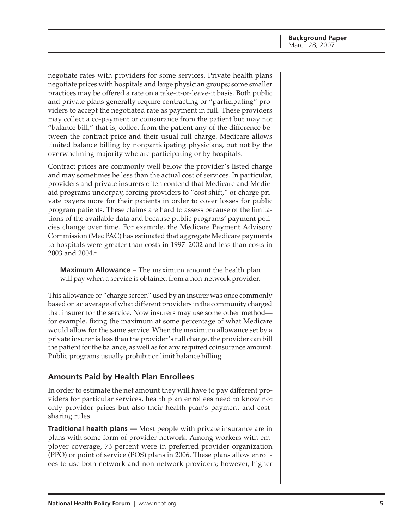<span id="page-4-0"></span>negotiate rates with providers for some services. Private health plans negotiate prices with hospitals and large physician groups; some smaller practices may be offered a rate on a take-it-or-leave-it basis. Both public and private plans generally require contracting or "participating" providers to accept the negotiated rate as payment in full. These providers may collect a co-payment or coinsurance from the patient but may not "balance bill," that is, collect from the patient any of the difference between the contract price and their usual full charge. Medicare allows limited balance billing by nonparticipating physicians, but not by the overwhelming majority who are participating or by hospitals.

Contract prices are commonly well below the provider's listed charge and may sometimes be less than the actual cost of services. In particular, providers and private insurers often contend that Medicare and Medicaid programs underpay, forcing providers to "cost shift," or charge private payers more for their patients in order to cover losses for public program patients. These claims are hard to assess because of the limitations of the available data and because public programs' payment policies change over time. For example, the Medicare Payment Advisory Commission (MedPAC) has estimated that aggregate Medicare payments to hospitals were greater than costs in 1997–2002 and less than costs in 2003 and 2004.<sup>4</sup>

**Maximum Allowance –** The maximum amount the health plan will pay when a service is obtained from a non-network provider.

This allowance or "charge screen" used by an insurer was once commonly based on an average of what different providers in the community charged that insurer for the service. Now insurers may use some other method for example, fixing the maximum at some percentage of what Medicare would allow for the same service. When the maximum allowance set by a private insurer is less than the provider's full charge, the provider can bill the patient for the balance, as well as for any required coinsurance amount. Public programs usually prohibit or limit balance billing.

# **Amounts Paid by Health Plan Enrollees**

In order to estimate the net amount they will have to pay different providers for particular services, health plan enrollees need to know not only provider prices but also their health plan's payment and costsharing rules.

**Traditional health plans —** Most people with private insurance are in plans with some form of provider network. Among workers with employer coverage, 73 percent were in preferred provider organization (PPO) or point of service (POS) plans in 2006. These plans allow enrollees to use both network and non-network providers; however, higher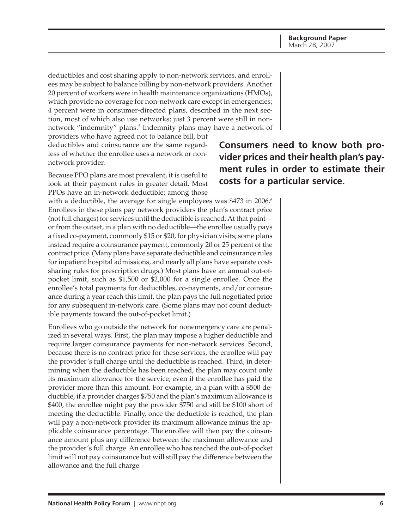deductibles and cost sharing apply to non-network services, and enrollees may be subject to balance billing by non-network providers. Another 20 percent of workers were in health maintenance organizations (HMOs), which provide no coverage for non-network care except in emergencies; 4 percent were in consumer-directed plans, described in the next section, most of which also use networks; just 3 percent were still in nonnetwork "indemnity" plans.<sup>5</sup> Indemnity plans may have a network of

providers who have agreed not to balance bill, but deductibles and coinsurance are the same regardless of whether the enrollee uses a network or nonnetwork provider.

Because PPO plans are most prevalent, it is useful to look at their payment rules in greater detail. Most PPOs have an in-network deductible; among those

with a deductible, the average for single employees was \$473 in 2006.<sup>6</sup> Enrollees in these plans pay network providers the plan's contract price (not full charges) for services until the deductible is reached. At that point or from the outset, in a plan with no deductible—the enrollee usually pays a fixed co-payment, commonly \$15 or \$20, for physician visits; some plans instead require a coinsurance payment, commonly 20 or 25 percent of the contract price. (Many plans have separate deductible and coinsurance rules for inpatient hospital admissions, and nearly all plans have separate costsharing rules for prescription drugs.) Most plans have an annual out-ofpocket limit, such as \$1,500 or \$2,000 for a single enrollee. Once the enrollee's total payments for deductibles, co-payments, and/or coinsurance during a year reach this limit, the plan pays the full negotiated price for any subsequent in-network care. (Some plans may not count deductible payments toward the out-of-pocket limit.)

Enrollees who go outside the network for nonemergency care are penalized in several ways. First, the plan may impose a higher deductible and require larger coinsurance payments for non-network services. Second, because there is no contract price for these services, the enrollee will pay the provider's full charge until the deductible is reached. Third, in determining when the deductible has been reached, the plan may count only its maximum allowance for the service, even if the enrollee has paid the provider more than this amount. For example, in a plan with a \$500 deductible, if a provider charges \$750 and the plan's maximum allowance is \$400, the enrollee might pay the provider \$750 and still be \$100 short of meeting the deductible. Finally, once the deductible is reached, the plan will pay a non-network provider its maximum allowance minus the applicable coinsurance percentage. The enrollee will then pay the coinsurance amount plus any difference between the maximum allowance and the provider's full charge. An enrollee who has reached the out-of-pocket limit will not pay coinsurance but will still pay the difference between the allowance and the full charge.

**Consumers need to know both provider prices and their health plan's payment rules in order to estimate their costs for a particular service.**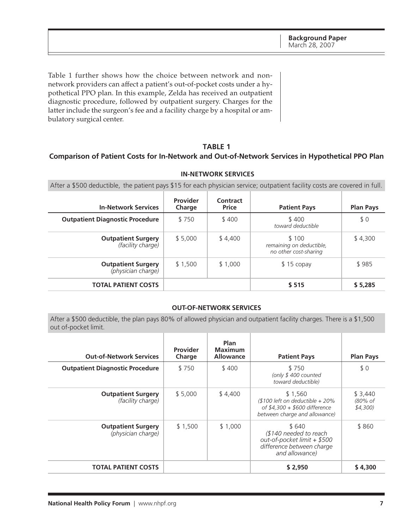<span id="page-6-0"></span>Table 1 further shows how the choice between network and nonnetwork providers can affect a patient's out-of-pocket costs under a hypothetical PPO plan. In this example, Zelda has received an outpatient diagnostic procedure, followed by outpatient surgery. Charges for the latter include the surgeon's fee and a facility charge by a hospital or ambulatory surgical center.

### **TABLE 1**

# **Comparison of Patient Costs for In-Network and Out-of-Network Services in Hypothetical PPO Plan**

| After a \$500 deductible, the patient pays \$15 for each physician service; outpatient facility costs are covered in full. |                    |                          |                                                            |                  |
|----------------------------------------------------------------------------------------------------------------------------|--------------------|--------------------------|------------------------------------------------------------|------------------|
| <b>In-Network Services</b>                                                                                                 | Provider<br>Charge | Contract<br><b>Price</b> | <b>Patient Pays</b>                                        | <b>Plan Pays</b> |
| <b>Outpatient Diagnostic Procedure</b>                                                                                     | \$750              | \$400                    | \$400<br>toward deductible                                 | \$0              |
| <b>Outpatient Surgery</b><br><i>(facility charge)</i>                                                                      | \$5.000            | \$4,400                  | \$100<br>remaining on deductible,<br>no other cost-sharing | \$4,300          |
| <b>Outpatient Surgery</b><br>(physician charge)                                                                            | \$1,500            | \$1.000                  | \$15 copay                                                 | \$985            |
| <b>TOTAL PATIENT COSTS</b>                                                                                                 |                    |                          | \$515                                                      | \$5,285          |

#### **IN-NETWORK SERVICES**

#### **OUT-OF-NETWORK SERVICES**

After a \$500 deductible, the plan pays 80% of allowed physician and outpatient facility charges. There is a \$1,500 out of-pocket limit.

| <b>Out-of-Network Services</b>                  | Provider<br>Charge | <b>Plan</b><br><b>Maximum</b><br><b>Allowance</b> | <b>Patient Pays</b>                                                                                            | <b>Plan Pays</b>              |
|-------------------------------------------------|--------------------|---------------------------------------------------|----------------------------------------------------------------------------------------------------------------|-------------------------------|
| <b>Outpatient Diagnostic Procedure</b>          | \$750              | \$400                                             | \$750<br>(only $$400$ counted<br>toward deductible)                                                            | \$0                           |
| <b>Outpatient Surgery</b><br>(facility charge)  | \$5,000            | \$4,400                                           | \$1.560<br>$$100$ left on deductible $+20\%$<br>of \$4,300 + \$600 difference<br>between charge and allowance) | \$3,440<br>(80% of<br>\$4,300 |
| <b>Outpatient Surgery</b><br>(physician charge) | \$1,500            | \$1,000                                           | \$640<br>(\$140 needed to reach<br>out-of-pocket limit + \$500<br>difference between charge<br>and allowance)  | \$860                         |
| <b>TOTAL PATIENT COSTS</b>                      |                    |                                                   | \$2,950                                                                                                        | \$4,300                       |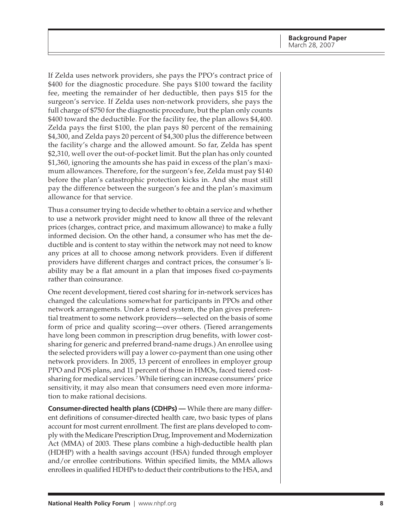If Zelda uses network providers, she pays the PPO's contract price of \$400 for the diagnostic procedure. She pays \$100 toward the facility fee, meeting the remainder of her deductible, then pays \$15 for the surgeon's service. If Zelda uses non-network providers, she pays the full charge of \$750 for the diagnostic procedure, but the plan only counts \$400 toward the deductible. For the facility fee, the plan allows \$4,400. Zelda pays the first \$100, the plan pays 80 percent of the remaining \$4,300, and Zelda pays 20 percent of \$4,300 plus the difference between the facility's charge and the allowed amount. So far, Zelda has spent \$2,310, well over the out-of-pocket limit. But the plan has only counted \$1,360, ignoring the amounts she has paid in excess of the plan's maximum allowances. Therefore, for the surgeon's fee, Zelda must pay \$140 before the plan's catastrophic protection kicks in. And she must still pay the difference between the surgeon's fee and the plan's maximum allowance for that service.

Thus a consumer trying to decide whether to obtain a service and whether to use a network provider might need to know all three of the relevant prices (charges, contract price, and maximum allowance) to make a fully informed decision. On the other hand, a consumer who has met the deductible and is content to stay within the network may not need to know any prices at all to choose among network providers. Even if different providers have different charges and contract prices, the consumer's liability may be a flat amount in a plan that imposes fixed co-payments rather than coinsurance.

One recent development, tiered cost sharing for in-network services has changed the calculations somewhat for participants in PPOs and other network arrangements. Under a tiered system, the plan gives preferential treatment to some network providers—selected on the basis of some form of price and quality scoring—over others. (Tiered arrangements have long been common in prescription drug benefits, with lower costsharing for generic and preferred brand-name drugs.) An enrollee using the selected providers will pay a lower co-payment than one using other network providers. In 2005, 13 percent of enrollees in employer group PPO and POS plans, and 11 percent of those in HMOs, faced tiered costsharing for medical services.7 While tiering can increase consumers' price sensitivity, it may also mean that consumers need even more information to make rational decisions.

**Consumer-directed health plans (CDHPs) —** While there are many different definitions of consumer-directed health care, two basic types of plans account for most current enrollment. The first are plans developed to comply with the Medicare Prescription Drug, Improvement and Modernization Act (MMA) of 2003. These plans combine a high-deductible health plan (HDHP) with a health savings account (HSA) funded through employer and/or enrollee contributions. Within specified limits, the MMA allows enrollees in qualified HDHPs to deduct their contributions to the HSA, and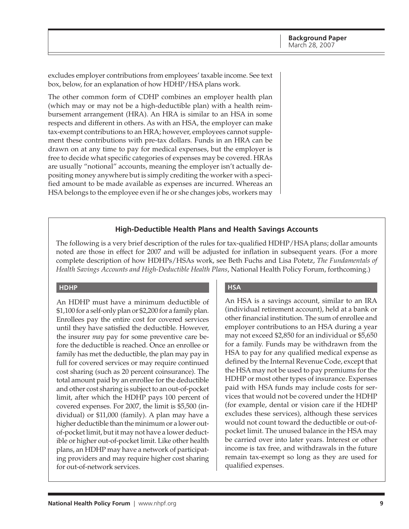excludes employer contributions from employees' taxable income. See text box, below, for an explanation of how HDHP/HSA plans work.

The other common form of CDHP combines an employer health plan (which may or may not be a high-deductible plan) with a health reimbursement arrangement (HRA). An HRA is similar to an HSA in some respects and different in others. As with an HSA, the employer can make tax-exempt contributions to an HRA; however, employees cannot supplement these contributions with pre-tax dollars. Funds in an HRA can be drawn on at any time to pay for medical expenses, but the employer is free to decide what specific categories of expenses may be covered. HRAs are usually "notional" accounts, meaning the employer isn't actually depositing money anywhere but is simply crediting the worker with a specified amount to be made available as expenses are incurred. Whereas an HSA belongs to the employee even if he or she changes jobs, workers may

### **High-Deductible Health Plans and Health Savings Accounts**

The following is a very brief description of the rules for tax-qualified HDHP/HSA plans; dollar amounts noted are those in effect for 2007 and will be adjusted for inflation in subsequent years. (For a more complete description of how HDHPs/HSAs work, see Beth Fuchs and Lisa Potetz, *The Fundamentals of Health Savings Accounts and High-Deductible Health Plans*, National Health Policy Forum, forthcoming.)

#### **HDHP**

An HDHP must have a minimum deductible of \$1,100 for a self-only plan or \$2,200 for a family plan. Enrollees pay the entire cost for covered services until they have satisfied the deductible. However, the insurer *may* pay for some preventive care before the deductible is reached. Once an enrollee or family has met the deductible, the plan may pay in full for covered services or may require continued cost sharing (such as 20 percent coinsurance). The total amount paid by an enrollee for the deductible and other cost sharing is subject to an out-of-pocket limit, after which the HDHP pays 100 percent of covered expenses. For 2007, the limit is \$5,500 (individual) or \$11,000 (family). A plan may have a higher deductible than the minimum or a lower outof-pocket limit, but it may not have a lower deductible or higher out-of-pocket limit. Like other health plans, an HDHP may have a network of participating providers and may require higher cost sharing for out-of-network services.

### **HSA**

An HSA is a savings account, similar to an IRA (individual retirement account), held at a bank or other financial institution. The sum of enrollee and employer contributions to an HSA during a year may not exceed \$2,850 for an individual or \$5,650 for a family. Funds may be withdrawn from the HSA to pay for any qualified medical expense as defined by the Internal Revenue Code, except that the HSA may not be used to pay premiums for the HDHP or most other types of insurance. Expenses paid with HSA funds may include costs for services that would not be covered under the HDHP (for example, dental or vision care if the HDHP excludes these services), although these services would not count toward the deductible or out-ofpocket limit. The unused balance in the HSA may be carried over into later years. Interest or other income is tax free, and withdrawals in the future remain tax-exempt so long as they are used for qualified expenses.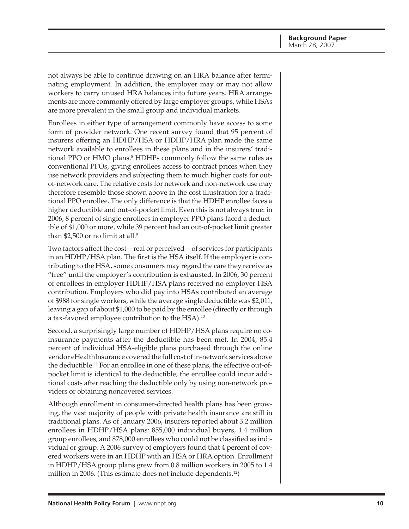not always be able to continue drawing on an HRA balance after terminating employment. In addition, the employer may or may not allow workers to carry unused HRA balances into future years. HRA arrangements are more commonly offered by large employer groups, while HSAs are more prevalent in the small group and individual markets.

Enrollees in either type of arrangement commonly have access to some form of provider network. One recent survey found that 95 percent of insurers offering an HDHP/HSA or HDHP/HRA plan made the same network available to enrollees in these plans and in the insurers' traditional PPO or HMO plans.<sup>8</sup> HDHPs commonly follow the same rules as conventional PPOs, giving enrollees access to contract prices when they use network providers and subjecting them to much higher costs for outof-network care. The relative costs for network and non-network use may therefore resemble those shown above in the cost illustration for a traditional PPO enrollee. The only difference is that the HDHP enrollee faces a higher deductible and out-of-pocket limit. Even this is not always true: in 2006, 8 percent of single enrollees in employer PPO plans faced a deductible of \$1,000 or more, while 39 percent had an out-of-pocket limit greater than \$2,500 or no limit at all.<sup>9</sup>

Two factors affect the cost—real or perceived—of services for participants in an HDHP/HSA plan. The first is the HSA itself. If the employer is contributing to the HSA, some consumers may regard the care they receive as "free" until the employer's contribution is exhausted. In 2006, 30 percent of enrollees in employer HDHP/HSA plans received no employer HSA contribution. Employers who did pay into HSAs contributed an average of \$988 for single workers, while the average single deductible was \$2,011, leaving a gap of about \$1,000 to be paid by the enrollee (directly or through a tax-favored employee contribution to the HSA).10

Second, a surprisingly large number of HDHP/HSA plans require no coinsurance payments after the deductible has been met. In 2004, 85.4 percent of individual HSA-eligible plans purchased through the online vendor eHealthInsurance covered the full cost of in-network services above the deductible.11 For an enrollee in one of these plans, the effective out-ofpocket limit is identical to the deductible; the enrollee could incur additional costs after reaching the deductible only by using non-network providers or obtaining noncovered services.

Although enrollment in consumer-directed health plans has been growing, the vast majority of people with private health insurance are still in traditional plans. As of January 2006, insurers reported about 3.2 million enrollees in HDHP/HSA plans: 855,000 individual buyers, 1.4 million group enrollees, and 878,000 enrollees who could not be classified as individual or group. A 2006 survey of employers found that 4 percent of covered workers were in an HDHP with an HSA or HRA option. Enrollment in HDHP/HSA group plans grew from 0.8 million workers in 2005 to 1.4 million in 2006. (This estimate does not include dependents.<sup>12</sup>)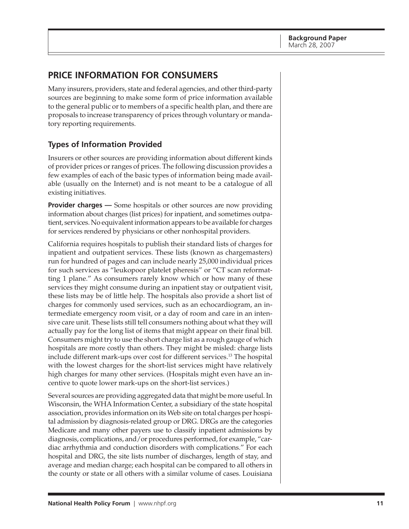# <span id="page-10-0"></span>**PRICE INFORMATION FOR CONSUMERS**

Many insurers, providers, state and federal agencies, and other third-party sources are beginning to make some form of price information available to the general public or to members of a specific health plan, and there are proposals to increase transparency of prices through voluntary or mandatory reporting requirements.

# **Types of Information Provided**

Insurers or other sources are providing information about different kinds of provider prices or ranges of prices. The following discussion provides a few examples of each of the basic types of information being made available (usually on the Internet) and is not meant to be a catalogue of all existing initiatives.

**Provider charges** — Some hospitals or other sources are now providing information about charges (list prices) for inpatient, and sometimes outpatient, services. No equivalent information appears to be available for charges for services rendered by physicians or other nonhospital providers.

California requires hospitals to publish their standard lists of charges for inpatient and outpatient services. These lists (known as chargemasters) run for hundred of pages and can include nearly 25,000 individual prices for such services as "leukopoor platelet pheresis" or "CT scan reformatting 1 plane." As consumers rarely know which or how many of these services they might consume during an inpatient stay or outpatient visit, these lists may be of little help. The hospitals also provide a short list of charges for commonly used services, such as an echocardiogram, an intermediate emergency room visit, or a day of room and care in an intensive care unit. These lists still tell consumers nothing about what they will actually pay for the long list of items that might appear on their final bill. Consumers might try to use the short charge list as a rough gauge of which hospitals are more costly than others. They might be misled: charge lists include different mark-ups over cost for different services.<sup>13</sup> The hospital with the lowest charges for the short-list services might have relatively high charges for many other services. (Hospitals might even have an incentive to quote lower mark-ups on the short-list services.)

Several sources are providing aggregated data that might be more useful. In Wisconsin, the WHA Information Center, a subsidiary of the state hospital association, provides information on its Web site on total charges per hospital admission by diagnosis-related group or DRG. DRGs are the categories Medicare and many other payers use to classify inpatient admissions by diagnosis, complications, and/or procedures performed, for example, "cardiac arrhythmia and conduction disorders with complications." For each hospital and DRG, the site lists number of discharges, length of stay, and average and median charge; each hospital can be compared to all others in the county or state or all others with a similar volume of cases. Louisiana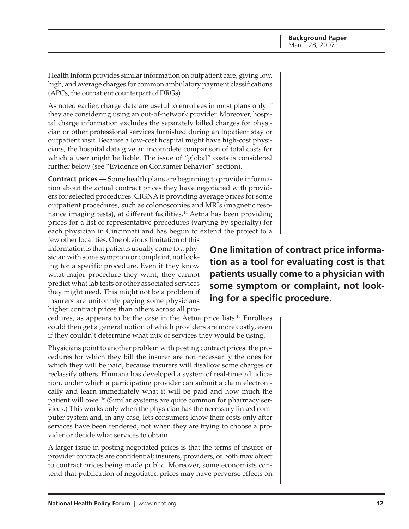Health Inform provides similar information on outpatient care, giving low, high, and average charges for common ambulatory payment classifications (APCs, the outpatient counterpart of DRGs).

As noted earlier, charge data are useful to enrollees in most plans only if they are considering using an out-of-network provider. Moreover, hospital charge information excludes the separately billed charges for physician or other professional services furnished during an inpatient stay or outpatient visit. Because a low-cost hospital might have high-cost physicians, the hospital data give an incomplete comparison of total costs for which a user might be liable. The issue of "global" costs is considered further below (see "Evidence on Consumer Behavior" section).

**Contract prices —** Some health plans are beginning to provide information about the actual contract prices they have negotiated with providers for selected procedures. CIGNA is providing average prices for some outpatient procedures, such as colonoscopies and MRIs (magnetic resonance imaging tests), at different facilities.<sup>14</sup> Aetna has been providing prices for a list of representative procedures (varying by specialty) for each physician in Cincinnati and has begun to extend the project to a

few other localities. One obvious limitation of this information is that patients usually come to a physician with some symptom or complaint, not looking for a specific procedure. Even if they know what major procedure they want, they cannot predict what lab tests or other associated services they might need. This might not be a problem if insurers are uniformly paying some physicians higher contract prices than others across all pro-

**One limitation of contract price information as a tool for evaluating cost is that patients usually come to a physician with some symptom or complaint, not looking for a specific procedure.**

cedures, as appears to be the case in the Aetna price lists.15 Enrollees could then get a general notion of which providers are more costly, even if they couldn't determine what mix of services they would be using.

Physicians point to another problem with posting contract prices: the procedures for which they bill the insurer are not necessarily the ones for which they will be paid, because insurers will disallow some charges or reclassify others. Humana has developed a system of real-time adjudication, under which a participating provider can submit a claim electronically and learn immediately what it will be paid and how much the patient will owe. 16 (Similar systems are quite common for pharmacy services.) This works only when the physician has the necessary linked computer system and, in any case, lets consumers know their costs only after services have been rendered, not when they are trying to choose a provider or decide what services to obtain.

A larger issue in posting negotiated prices is that the terms of insurer or provider contracts are confidential; insurers, providers, or both may object to contract prices being made public. Moreover, some economists contend that publication of negotiated prices may have perverse effects on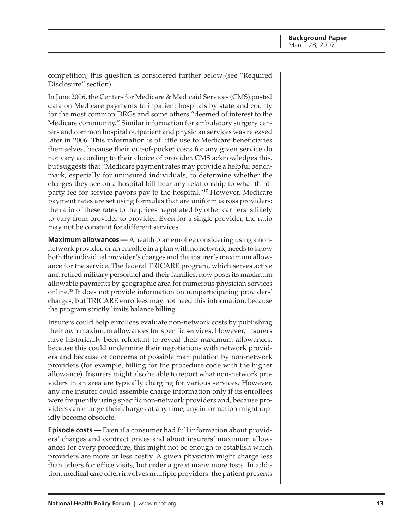competition; this question is considered further below (see "Required Disclosure" section).

In June 2006, the Centers for Medicare & Medicaid Services (CMS) posted data on Medicare payments to inpatient hospitals by state and county for the most common DRGs and some others "deemed of interest to the Medicare community." Similar information for ambulatory surgery centers and common hospital outpatient and physician services was released later in 2006. This information is of little use to Medicare beneficiaries themselves, because their out-of-pocket costs for any given service do not vary according to their choice of provider. CMS acknowledges this, but suggests that "Medicare payment rates may provide a helpful benchmark, especially for uninsured individuals, to determine whether the charges they see on a hospital bill bear any relationship to what thirdparty fee-for-service payors pay to the hospital."17 However, Medicare payment rates are set using formulas that are uniform across providers; the ratio of these rates to the prices negotiated by other carriers is likely to vary from provider to provider. Even for a single provider, the ratio may not be constant for different services.

**Maximum allowances —** A health plan enrollee considering using a nonnetwork provider, or an enrollee in a plan with no network, needs to know both the individual provider's charges and the insurer's maximum allowance for the service. The federal TRICARE program, which serves active and retired military personnel and their families, now posts its maximum allowable payments by geographic area for numerous physician services online.18 It does not provide information on nonparticipating providers' charges, but TRICARE enrollees may not need this information, because the program strictly limits balance billing.

Insurers could help enrollees evaluate non-network costs by publishing their own maximum allowances for specific services. However, insurers have historically been reluctant to reveal their maximum allowances, because this could undermine their negotiations with network providers and because of concerns of possible manipulation by non-network providers (for example, billing for the procedure code with the higher allowance). Insurers might also be able to report what non-network providers in an area are typically charging for various services. However, any one insurer could assemble charge information only if its enrollees were frequently using specific non-network providers and, because providers can change their charges at any time, any information might rapidly become obsolete.

**Episode costs —** Even if a consumer had full information about providers' charges and contract prices and about insurers' maximum allowances for every procedure, this might not be enough to establish which providers are more or less costly. A given physician might charge less than others for office visits, but order a great many more tests. In addition, medical care often involves multiple providers: the patient presents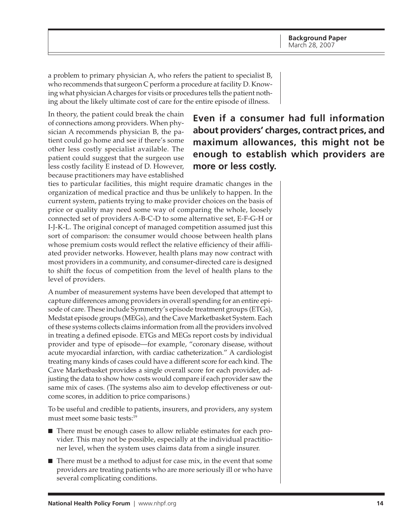a problem to primary physician A, who refers the patient to specialist B, who recommends that surgeon C perform a procedure at facility D. Knowing what physician A charges for visits or procedures tells the patient nothing about the likely ultimate cost of care for the entire episode of illness.

In theory, the patient could break the chain of connections among providers. When physician A recommends physician B, the patient could go home and see if there's some other less costly specialist available. The patient could suggest that the surgeon use less costly facility E instead of D. However, because practitioners may have established

# **Even if a consumer had full information about providers' charges, contract prices, and maximum allowances, this might not be enough to establish which providers are more or less costly.**

ties to particular facilities, this might require dramatic changes in the organization of medical practice and thus be unlikely to happen. In the current system, patients trying to make provider choices on the basis of price or quality may need some way of comparing the whole, loosely connected set of providers A-B-C-D to some alternative set, E-F-G-H or I-J-K-L. The original concept of managed competition assumed just this sort of comparison: the consumer would choose between health plans whose premium costs would reflect the relative efficiency of their affiliated provider networks. However, health plans may now contract with most providers in a community, and consumer-directed care is designed to shift the focus of competition from the level of health plans to the level of providers.

A number of measurement systems have been developed that attempt to capture differences among providers in overall spending for an entire episode of care. These include Symmetry's episode treatment groups (ETGs), Medstat episode groups (MEGs), and the Cave Marketbasket System. Each of these systems collects claims information from all the providers involved in treating a defined episode. ETGs and MEGs report costs by individual provider and type of episode—for example, "coronary disease, without acute myocardial infarction, with cardiac catheterization." A cardiologist treating many kinds of cases could have a different score for each kind. The Cave Marketbasket provides a single overall score for each provider, adjusting the data to show how costs would compare if each provider saw the same mix of cases. (The systems also aim to develop effectiveness or outcome scores, in addition to price comparisons.)

To be useful and credible to patients, insurers, and providers, any system must meet some basic tests:<sup>19</sup>

- There must be enough cases to allow reliable estimates for each provider. This may not be possible, especially at the individual practitioner level, when the system uses claims data from a single insurer.
- $\blacksquare$  There must be a method to adjust for case mix, in the event that some providers are treating patients who are more seriously ill or who have several complicating conditions.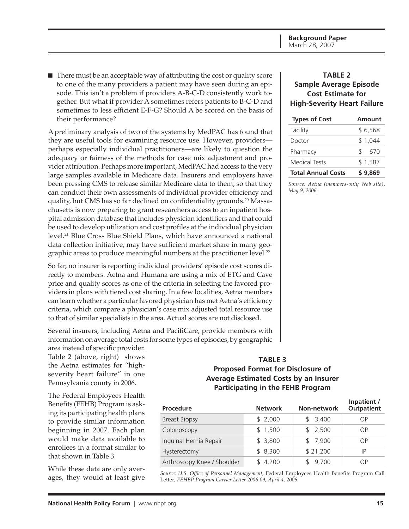<span id="page-14-0"></span>■ There must be an acceptable way of attributing the cost or quality score to one of the many providers a patient may have seen during an episode. This isn't a problem if providers A-B-C-D consistently work together. But what if provider A sometimes refers patients to B-C-D and sometimes to less efficient E-F-G? Should A be scored on the basis of their performance?

A preliminary analysis of two of the systems by MedPAC has found that they are useful tools for examining resource use. However, providers perhaps especially individual practitioners—are likely to question the adequacy or fairness of the methods for case mix adjustment and provider attribution. Perhaps more important, MedPAC had access to the very large samples available in Medicare data. Insurers and employers have been pressing CMS to release similar Medicare data to them, so that they can conduct their own assessments of individual provider efficiency and quality, but CMS has so far declined on confidentiality grounds.<sup>20</sup> Massachusetts is now preparing to grant researchers access to an inpatient hospital admission database that includes physician identifiers and that could be used to develop utilization and cost profiles at the individual physician level.<sup>21</sup> Blue Cross Blue Shield Plans, which have announced a national data collection initiative, may have sufficient market share in many geographic areas to produce meaningful numbers at the practitioner level.<sup>22</sup>

So far, no insurer is reporting individual providers' episode cost scores directly to members. Aetna and Humana are using a mix of ETG and Cave price and quality scores as one of the criteria in selecting the favored providers in plans with tiered cost sharing. In a few localities, Aetna members can learn whether a particular favored physician has met Aetna's efficiency criteria, which compare a physician's case mix adjusted total resource use to that of similar specialists in the area. Actual scores are not disclosed.

Several insurers, including Aetna and PacifiCare, provide members with information on average total costs for some types of episodes, by geographic

area instead of specific provider. Table 2 (above, right) shows the Aetna estimates for "highseverity heart failure" in one Pennsylvania county in 2006.

The Federal Employees Health Benefits (FEHB) Program is asking its participating health plans to provide similar information beginning in 2007. Each plan would make data available to enrollees in a format similar to that shown in Table 3.

While these data are only averages, they would at least give

# **TABLE 2 Sample Average Episode Cost Estimate for High-Severity Heart Failure**

| <b>Types of Cost</b>      | Amount    |  |  |
|---------------------------|-----------|--|--|
| Facility                  | \$6,568   |  |  |
| Doctor                    | \$1.044   |  |  |
| Pharmacy                  | \$<br>670 |  |  |
| Medical Tests             | \$1,587   |  |  |
| <b>Total Annual Costs</b> | \$9.869   |  |  |

*Source: Aetna (members-only Web site), May 9, 2006.*

## **TABLE 3 Proposed Format for Disclosure of Average Estimated Costs by an Insurer Participating in the FEHB Program**

| <b>Procedure</b>            | <b>Network</b> | Non-network | Inpatient /<br><b>Outpatient</b> |
|-----------------------------|----------------|-------------|----------------------------------|
| <b>Breast Biopsy</b>        | \$2,000        | \$3,400     | ΟP                               |
| Colonoscopy                 | \$1,500        | \$2,500     | ΟP                               |
| Inguinal Hernia Repair      | \$3,800        | \$7,900     | ΟP                               |
| Hysterectomy                | \$8,300        | \$21,200    | IP                               |
| Arthroscopy Knee / Shoulder | \$4,200        | 9,700       | ΟP                               |

*Source: U.S. Office of Personnel Management,* Federal Employees Health Benefits Program Call Letter*, FEHBP Program Carrier Letter 2006-09, April 4, 2006.*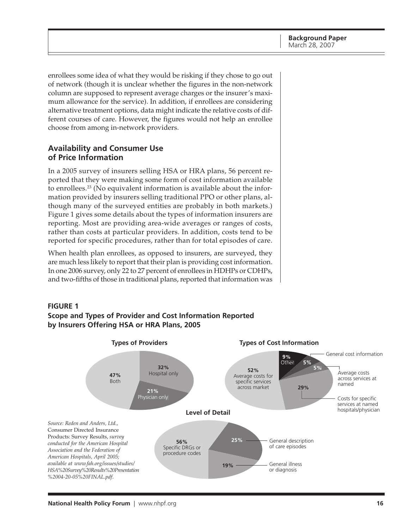<span id="page-15-0"></span>enrollees some idea of what they would be risking if they chose to go out of network (though it is unclear whether the figures in the non-network column are supposed to represent average charges or the insurer's maximum allowance for the service). In addition, if enrollees are considering alternative treatment options, data might indicate the relative costs of different courses of care. However, the figures would not help an enrollee choose from among in-network providers.

# **Availability and Consumer Use of Price Information**

In a 2005 survey of insurers selling HSA or HRA plans, 56 percent reported that they were making some form of cost information available to enrollees.23 (No equivalent information is available about the information provided by insurers selling traditional PPO or other plans, although many of the surveyed entities are probably in both markets.) Figure 1 gives some details about the types of information insurers are reporting. Most are providing area-wide averages or ranges of costs, rather than costs at particular providers. In addition, costs tend to be reported for specific procedures, rather than for total episodes of care.

When health plan enrollees, as opposed to insurers, are surveyed, they are much less likely to report that their plan is providing cost information. In one 2006 survey, only 22 to 27 percent of enrollees in HDHPs or CDHPs, and two-fifths of those in traditional plans, reported that information was



# **by Insurers Offering HSA or HRA Plans, 2005**

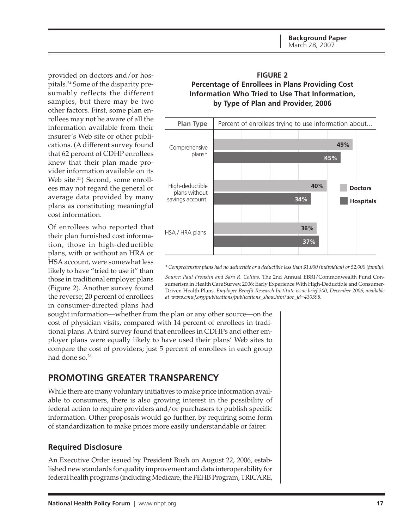<span id="page-16-0"></span>provided on doctors and/or hospitals.24 Some of the disparity presumably reflects the different samples, but there may be two other factors. First, some plan enrollees may not be aware of all the information available from their insurer's Web site or other publications. (A different survey found that 62 percent of CDHP enrollees knew that their plan made provider information available on its Web site.<sup>25</sup>) Second, some enrollees may not regard the general or average data provided by many plans as constituting meaningful cost information.

Of enrollees who reported that their plan furnished cost information, those in high-deductible plans, with or without an HRA or HSA account, were somewhat less likely to have "tried to use it" than those in traditional employer plans (Figure 2). Another survey found the reverse; 20 percent of enrollees in consumer-directed plans had

### **FIGURE 2 Percentage of Enrollees in Plans Providing Cost Information Who Tried to Use That Information, by Type of Plan and Provider, 2006**



*\* Comprehensive plans had no deductible or a deductible less than \$1,000 (individual) or \$2,000 (family).*

*Source: Paul Fronstin and Sara R. Collins,* The 2nd Annual EBRI/Commonwealth Fund Consumerism in Health Care Survey, 2006: Early Experience With High-Deductible and Consumer-Driven Health Plans*, Employee Benefit Research Institute issue brief 300, December 2006; available at [www.cmwf.org/publications/publications\\_show.htm?doc\\_id=430598.](http://www.cmwf.org/publications/publications_show.htm?doc_id=430598)*

sought information—whether from the plan or any other source—on the cost of physician visits, compared with 14 percent of enrollees in traditional plans. A third survey found that enrollees in CDHPs and other employer plans were equally likely to have used their plans' Web sites to compare the cost of providers; just 5 percent of enrollees in each group had done so.<sup>26</sup>

# **PROMOTING GREATER TRANSPARENCY**

While there are many voluntary initiatives to make price information available to consumers, there is also growing interest in the possibility of federal action to require providers and/or purchasers to publish specific information. Other proposals would go further, by requiring some form of standardization to make prices more easily understandable or fairer.

### **Required Disclosure**

An Executive Order issued by President Bush on August 22, 2006, established new standards for quality improvement and data interoperability for federal health programs (including Medicare, the FEHB Program, TRICARE,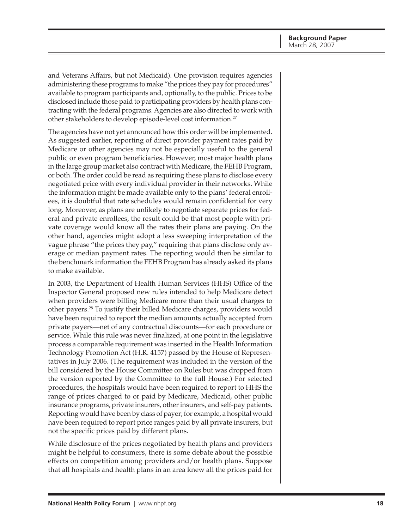and Veterans Affairs, but not Medicaid). One provision requires agencies administering these programs to make "the prices they pay for procedures" available to program participants and, optionally, to the public. Prices to be disclosed include those paid to participating providers by health plans contracting with the federal programs. Agencies are also directed to work with other stakeholders to develop episode-level cost information.27

The agencies have not yet announced how this order will be implemented. As suggested earlier, reporting of direct provider payment rates paid by Medicare or other agencies may not be especially useful to the general public or even program beneficiaries. However, most major health plans in the large group market also contract with Medicare, the FEHB Program, or both. The order could be read as requiring these plans to disclose every negotiated price with every individual provider in their networks. While the information might be made available only to the plans' federal enrollees, it is doubtful that rate schedules would remain confidential for very long. Moreover, as plans are unlikely to negotiate separate prices for federal and private enrollees, the result could be that most people with private coverage would know all the rates their plans are paying. On the other hand, agencies might adopt a less sweeping interpretation of the vague phrase "the prices they pay," requiring that plans disclose only average or median payment rates. The reporting would then be similar to the benchmark information the FEHB Program has already asked its plans to make available.

In 2003, the Department of Health Human Services (HHS) Office of the Inspector General proposed new rules intended to help Medicare detect when providers were billing Medicare more than their usual charges to other payers.28 To justify their billed Medicare charges, providers would have been required to report the median amounts actually accepted from private payers—net of any contractual discounts—for each procedure or service. While this rule was never finalized, at one point in the legislative process a comparable requirement was inserted in the Health Information Technology Promotion Act (H.R. 4157) passed by the House of Representatives in July 2006. (The requirement was included in the version of the bill considered by the House Committee on Rules but was dropped from the version reported by the Committee to the full House.) For selected procedures, the hospitals would have been required to report to HHS the range of prices charged to or paid by Medicare, Medicaid, other public insurance programs, private insurers, other insurers, and self-pay patients. Reporting would have been by class of payer; for example, a hospital would have been required to report price ranges paid by all private insurers, but not the specific prices paid by different plans.

While disclosure of the prices negotiated by health plans and providers might be helpful to consumers, there is some debate about the possible effects on competition among providers and/or health plans. Suppose that all hospitals and health plans in an area knew all the prices paid for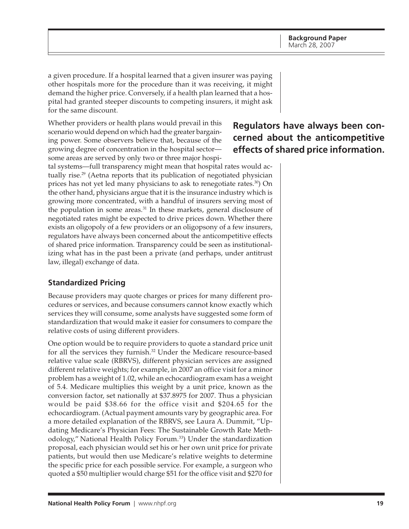<span id="page-18-0"></span>a given procedure. If a hospital learned that a given insurer was paying other hospitals more for the procedure than it was receiving, it might demand the higher price. Conversely, if a health plan learned that a hospital had granted steeper discounts to competing insurers, it might ask for the same discount.

Whether providers or health plans would prevail in this scenario would depend on which had the greater bargaining power. Some observers believe that, because of the growing degree of concentration in the hospital sector some areas are served by only two or three major hospi-

tal systems—full transparency might mean that hospital rates would actually rise.<sup>29</sup> (Aetna reports that its publication of negotiated physician prices has not yet led many physicians to ask to renegotiate rates.<sup>30</sup>) On the other hand, physicians argue that it is the insurance industry which is growing more concentrated, with a handful of insurers serving most of the population in some areas.<sup>31</sup> In these markets, general disclosure of negotiated rates might be expected to drive prices down. Whether there exists an oligopoly of a few providers or an oligopsony of a few insurers, regulators have always been concerned about the anticompetitive effects of shared price information. Transparency could be seen as institutionalizing what has in the past been a private (and perhaps, under antitrust law, illegal) exchange of data.

# **Standardized Pricing**

Because providers may quote charges or prices for many different procedures or services, and because consumers cannot know exactly which services they will consume, some analysts have suggested some form of standardization that would make it easier for consumers to compare the relative costs of using different providers.

One option would be to require providers to quote a standard price unit for all the services they furnish.<sup>32</sup> Under the Medicare resource-based relative value scale (RBRVS), different physician services are assigned different relative weights; for example, in 2007 an office visit for a minor problem has a weight of 1.02, while an echocardiogram exam has a weight of 5.4. Medicare multiplies this weight by a unit price, known as the conversion factor, set nationally at \$37.8975 for 2007. Thus a physician would be paid \$38.66 for the office visit and \$204.65 for the echocardiogram. (Actual payment amounts vary by geographic area. For a more detailed explanation of the RBRVS, see Laura A. Dummit, "Updating Medicare's Physician Fees: The Sustainable Growth Rate Methodology," National Health Policy Forum.<sup>33</sup>) Under the standardization proposal, each physician would set his or her own unit price for private patients, but would then use Medicare's relative weights to determine the specific price for each possible service. For example, a surgeon who quoted a \$50 multiplier would charge \$51 for the office visit and \$270 for

# **Regulators have always been concerned about the anticompetitive effects of shared price information.**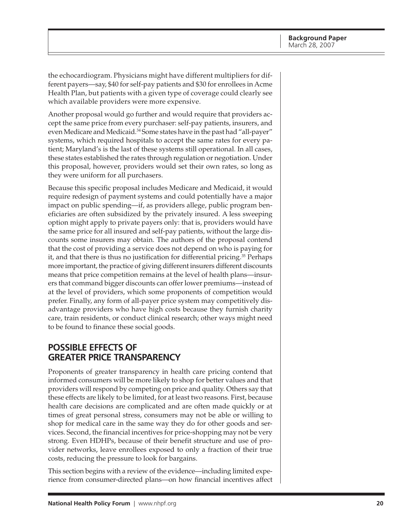<span id="page-19-0"></span>the echocardiogram. Physicians might have different multipliers for different payers—say, \$40 for self-pay patients and \$30 for enrollees in Acme Health Plan, but patients with a given type of coverage could clearly see which available providers were more expensive.

Another proposal would go further and would require that providers accept the same price from every purchaser: self-pay patients, insurers, and even Medicare and Medicaid.<sup>34</sup> Some states have in the past had "all-payer" systems, which required hospitals to accept the same rates for every patient; Maryland's is the last of these systems still operational. In all cases, these states established the rates through regulation or negotiation. Under this proposal, however, providers would set their own rates, so long as they were uniform for all purchasers.

Because this specific proposal includes Medicare and Medicaid, it would require redesign of payment systems and could potentially have a major impact on public spending—if, as providers allege, public program beneficiaries are often subsidized by the privately insured. A less sweeping option might apply to private payers only: that is, providers would have the same price for all insured and self-pay patients, without the large discounts some insurers may obtain. The authors of the proposal contend that the cost of providing a service does not depend on who is paying for it, and that there is thus no justification for differential pricing.35 Perhaps more important, the practice of giving different insurers different discounts means that price competition remains at the level of health plans—insurers that command bigger discounts can offer lower premiums—instead of at the level of providers, which some proponents of competition would prefer. Finally, any form of all-payer price system may competitively disadvantage providers who have high costs because they furnish charity care, train residents, or conduct clinical research; other ways might need to be found to finance these social goods.

# **POSSIBLE EFFECTS OF GREATER PRICE TRANSPARENCY**

Proponents of greater transparency in health care pricing contend that informed consumers will be more likely to shop for better values and that providers will respond by competing on price and quality. Others say that these effects are likely to be limited, for at least two reasons. First, because health care decisions are complicated and are often made quickly or at times of great personal stress, consumers may not be able or willing to shop for medical care in the same way they do for other goods and services. Second, the financial incentives for price-shopping may not be very strong. Even HDHPs, because of their benefit structure and use of provider networks, leave enrollees exposed to only a fraction of their true costs, reducing the pressure to look for bargains.

This section begins with a review of the evidence—including limited experience from consumer-directed plans—on how financial incentives affect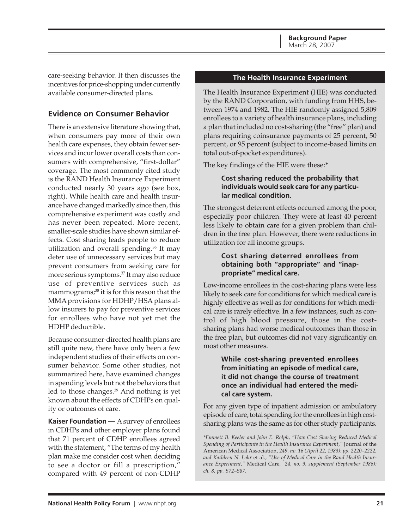<span id="page-20-0"></span>care-seeking behavior. It then discusses the incentives for price-shopping under currently available consumer-directed plans.

# **Evidence on Consumer Behavior**

There is an extensive literature showing that, when consumers pay more of their own health care expenses, they obtain fewer services and incur lower overall costs than consumers with comprehensive, "first-dollar" coverage. The most commonly cited study is the RAND Health Insurance Experiment conducted nearly 30 years ago (see box, right). While health care and health insurance have changed markedly since then, this comprehensive experiment was costly and has never been repeated. More recent, smaller-scale studies have shown similar effects. Cost sharing leads people to reduce utilization and overall spending.36 It may deter use of unnecessary services but may prevent consumers from seeking care for more serious symptoms.37 It may also reduce use of preventive services such as mammograms;<sup>38</sup> it is for this reason that the MMA provisions for HDHP/HSA plans allow insurers to pay for preventive services for enrollees who have not yet met the HDHP deductible.

Because consumer-directed health plans are still quite new, there have only been a few independent studies of their effects on consumer behavior. Some other studies, not summarized here, have examined changes in spending levels but not the behaviors that led to those changes.39 And nothing is yet known about the effects of CDHPs on quality or outcomes of care.

**Kaiser Foundation —** A survey of enrollees in CDHPs and other employer plans found that 71 percent of CDHP enrollees agreed with the statement, "The terms of my health plan make me consider cost when deciding to see a doctor or fill a prescription," compared with 49 percent of non-CDHP

### **The Health Insurance Experiment**

The Health Insurance Experiment (HIE) was conducted by the RAND Corporation, with funding from HHS, between 1974 and 1982. The HIE randomly assigned 5,809 enrollees to a variety of health insurance plans, including a plan that included no cost-sharing (the "free" plan) and plans requiring coinsurance payments of 25 percent, 50 percent, or 95 percent (subject to income-based limits on total out-of-pocket expenditures).

The key findings of the HIE were these:\*

### **Cost sharing reduced the probability that individuals would seek care for any particular medical condition.**

The strongest deterrent effects occurred among the poor, especially poor children. They were at least 40 percent less likely to obtain care for a given problem than children in the free plan. However, there were reductions in utilization for all income groups.

### **Cost sharing deterred enrollees from obtaining both "appropriate" and "inappropriate" medical care.**

Low-income enrollees in the cost-sharing plans were less likely to seek care for conditions for which medical care is highly effective as well as for conditions for which medical care is rarely effective. In a few instances, such as control of high blood pressure, those in the costsharing plans had worse medical outcomes than those in the free plan, but outcomes did not vary significantly on most other measures.

### **While cost-sharing prevented enrollees from initiating an episode of medical care, it did not change the course of treatment once an individual had entered the medical care system.**

For any given type of inpatient admission or ambulatory episode of care, total spending for the enrollees in high costsharing plans was the same as for other study participants.

*\*Emmett B. Keeler and John E. Rolph, "How Cost Sharing Reduced Medical Spending of Participants in the Health Insurance Experiment,"* Journal of the American Medical Association*, 249, no. 16 (April 22, 1983): pp. 2220–2222, and Kathleen N. Lohr* et al*., "Use of Medical Care in the Rand Health Insurance Experiment,"* Medical Care*, 24, no. 9, supplement (September 1986): ch. 8, pp. S72–S87.*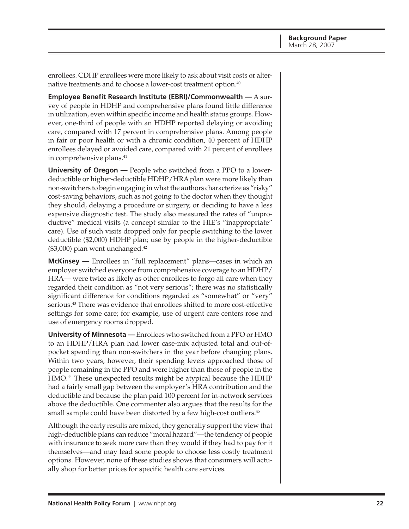enrollees. CDHP enrollees were more likely to ask about visit costs or alternative treatments and to choose a lower-cost treatment option.<sup>40</sup>

**Employee Benefit Research Institute (EBRI)/Commonwealth —** A survey of people in HDHP and comprehensive plans found little difference in utilization, even within specific income and health status groups. However, one-third of people with an HDHP reported delaying or avoiding care, compared with 17 percent in comprehensive plans. Among people in fair or poor health or with a chronic condition, 40 percent of HDHP enrollees delayed or avoided care, compared with 21 percent of enrollees in comprehensive plans.<sup>41</sup>

**University of Oregon —** People who switched from a PPO to a lowerdeductible or higher-deductible HDHP/HRA plan were more likely than non-switchers to begin engaging in what the authors characterize as "risky" cost-saving behaviors, such as not going to the doctor when they thought they should, delaying a procedure or surgery, or deciding to have a less expensive diagnostic test. The study also measured the rates of "unproductive" medical visits (a concept similar to the HIE's "inappropriate" care). Use of such visits dropped only for people switching to the lower deductible (\$2,000) HDHP plan; use by people in the higher-deductible  $($3,000)$  plan went unchanged.<sup>42</sup>

**McKinsey** — Enrollees in "full replacement" plans—cases in which an employer switched everyone from comprehensive coverage to an HDHP/ HRA— were twice as likely as other enrollees to forgo all care when they regarded their condition as "not very serious"; there was no statistically significant difference for conditions regarded as "somewhat" or "very" serious.<sup>43</sup> There was evidence that enrollees shifted to more cost-effective settings for some care; for example, use of urgent care centers rose and use of emergency rooms dropped.

**University of Minnesota —** Enrollees who switched from a PPO or HMO to an HDHP/HRA plan had lower case-mix adjusted total and out-ofpocket spending than non-switchers in the year before changing plans. Within two years, however, their spending levels approached those of people remaining in the PPO and were higher than those of people in the HMO.<sup>44</sup> These unexpected results might be atypical because the HDHP had a fairly small gap between the employer's HRA contribution and the deductible and because the plan paid 100 percent for in-network services above the deductible. One commenter also argues that the results for the small sample could have been distorted by a few high-cost outliers.<sup>45</sup>

Although the early results are mixed, they generally support the view that high-deductible plans can reduce "moral hazard"—the tendency of people with insurance to seek more care than they would if they had to pay for it themselves—and may lead some people to choose less costly treatment options. However, none of these studies shows that consumers will actually shop for better prices for specific health care services.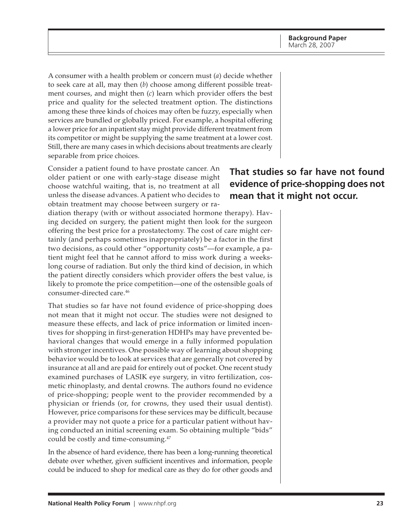A consumer with a health problem or concern must (*a*) decide whether to seek care at all, may then (*b*) choose among different possible treatment courses, and might then (*c*) learn which provider offers the best price and quality for the selected treatment option. The distinctions among these three kinds of choices may often be fuzzy, especially when services are bundled or globally priced. For example, a hospital offering a lower price for an inpatient stay might provide different treatment from its competitor or might be supplying the same treatment at a lower cost. Still, there are many cases in which decisions about treatments are clearly separable from price choices.

Consider a patient found to have prostate cancer. An older patient or one with early-stage disease might choose watchful waiting, that is, no treatment at all unless the disease advances. A patient who decides to obtain treatment may choose between surgery or ra-

diation therapy (with or without associated hormone therapy). Having decided on surgery, the patient might then look for the surgeon offering the best price for a prostatectomy. The cost of care might certainly (and perhaps sometimes inappropriately) be a factor in the first two decisions, as could other "opportunity costs"—for example, a patient might feel that he cannot afford to miss work during a weekslong course of radiation. But only the third kind of decision, in which the patient directly considers which provider offers the best value, is likely to promote the price competition—one of the ostensible goals of consumer-directed care.46

That studies so far have not found evidence of price-shopping does not mean that it might not occur. The studies were not designed to measure these effects, and lack of price information or limited incentives for shopping in first-generation HDHPs may have prevented behavioral changes that would emerge in a fully informed population with stronger incentives. One possible way of learning about shopping behavior would be to look at services that are generally not covered by insurance at all and are paid for entirely out of pocket. One recent study examined purchases of LASIK eye surgery, in vitro fertilization, cosmetic rhinoplasty, and dental crowns. The authors found no evidence of price-shopping; people went to the provider recommended by a physician or friends (or, for crowns, they used their usual dentist). However, price comparisons for these services may be difficult, because a provider may not quote a price for a particular patient without having conducted an initial screening exam. So obtaining multiple "bids" could be costly and time-consuming.<sup>47</sup>

In the absence of hard evidence, there has been a long-running theoretical debate over whether, given sufficient incentives and information, people could be induced to shop for medical care as they do for other goods and

# **That studies so far have not found evidence of price-shopping does not mean that it might not occur.**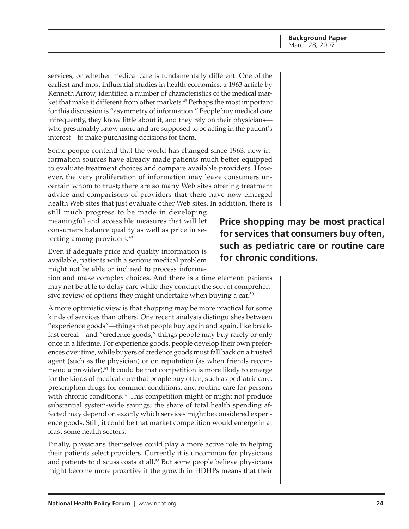services, or whether medical care is fundamentally different. One of the earliest and most influential studies in health economics, a 1963 article by Kenneth Arrow, identified a number of characteristics of the medical market that make it different from other markets.<sup>48</sup> Perhaps the most important for this discussion is "asymmetry of information." People buy medical care infrequently, they know little about it, and they rely on their physicians who presumably know more and are supposed to be acting in the patient's interest—to make purchasing decisions for them.

Some people contend that the world has changed since 1963: new information sources have already made patients much better equipped to evaluate treatment choices and compare available providers. However, the very proliferation of information may leave consumers uncertain whom to trust; there are so many Web sites offering treatment advice and comparisons of providers that there have now emerged health Web sites that just evaluate other Web sites. In addition, there is

still much progress to be made in developing meaningful and accessible measures that will let consumers balance quality as well as price in selecting among providers.<sup>49</sup>

Even if adequate price and quality information is available, patients with a serious medical problem might not be able or inclined to process informa-

tion and make complex choices. And there is a time element: patients may not be able to delay care while they conduct the sort of comprehensive review of options they might undertake when buying a car.<sup>50</sup>

A more optimistic view is that shopping may be more practical for some kinds of services than others. One recent analysis distinguishes between "experience goods"—things that people buy again and again, like breakfast cereal—and "credence goods," things people may buy rarely or only once in a lifetime. For experience goods, people develop their own preferences over time, while buyers of credence goods must fall back on a trusted agent (such as the physician) or on reputation (as when friends recommend a provider).<sup>51</sup> It could be that competition is more likely to emerge for the kinds of medical care that people buy often, such as pediatric care, prescription drugs for common conditions, and routine care for persons with chronic conditions.<sup>52</sup> This competition might or might not produce substantial system-wide savings; the share of total health spending affected may depend on exactly which services might be considered experience goods. Still, it could be that market competition would emerge in at least some health sectors.

Finally, physicians themselves could play a more active role in helping their patients select providers. Currently it is uncommon for physicians and patients to discuss costs at all.<sup>53</sup> But some people believe physicians might become more proactive if the growth in HDHPs means that their

**Price shopping may be most practical for services that consumers buy often, such as pediatric care or routine care for chronic conditions.**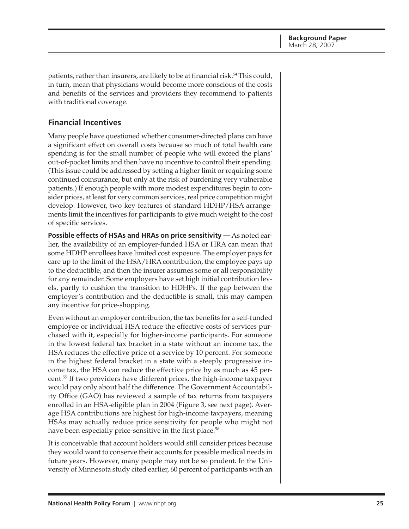<span id="page-24-0"></span>patients, rather than insurers, are likely to be at financial risk.<sup>54</sup> This could, in turn, mean that physicians would become more conscious of the costs and benefits of the services and providers they recommend to patients with traditional coverage.

# **Financial Incentives**

Many people have questioned whether consumer-directed plans can have a significant effect on overall costs because so much of total health care spending is for the small number of people who will exceed the plans' out-of-pocket limits and then have no incentive to control their spending. (This issue could be addressed by setting a higher limit or requiring some continued coinsurance, but only at the risk of burdening very vulnerable patients.) If enough people with more modest expenditures begin to consider prices, at least for very common services, real price competition might develop. However, two key features of standard HDHP/HSA arrangements limit the incentives for participants to give much weight to the cost of specific services.

**Possible effects of HSAs and HRAs on price sensitivity —** As noted earlier, the availability of an employer-funded HSA or HRA can mean that some HDHP enrollees have limited cost exposure. The employer pays for care up to the limit of the HSA/HRA contribution, the employee pays up to the deductible, and then the insurer assumes some or all responsibility for any remainder. Some employers have set high initial contribution levels, partly to cushion the transition to HDHPs. If the gap between the employer's contribution and the deductible is small, this may dampen any incentive for price-shopping.

Even without an employer contribution, the tax benefits for a self-funded employee or individual HSA reduce the effective costs of services purchased with it, especially for higher-income participants. For someone in the lowest federal tax bracket in a state without an income tax, the HSA reduces the effective price of a service by 10 percent. For someone in the highest federal bracket in a state with a steeply progressive income tax, the HSA can reduce the effective price by as much as 45 percent.55 If two providers have different prices, the high-income taxpayer would pay only about half the difference. The Government Accountability Office (GAO) has reviewed a sample of tax returns from taxpayers enrolled in an HSA-eligible plan in 2004 (Figure 3, see next page). Average HSA contributions are highest for high-income taxpayers, meaning HSAs may actually reduce price sensitivity for people who might not have been especially price-sensitive in the first place.<sup>56</sup>

It is conceivable that account holders would still consider prices because they would want to conserve their accounts for possible medical needs in future years. However, many people may not be so prudent. In the University of Minnesota study cited earlier, 60 percent of participants with an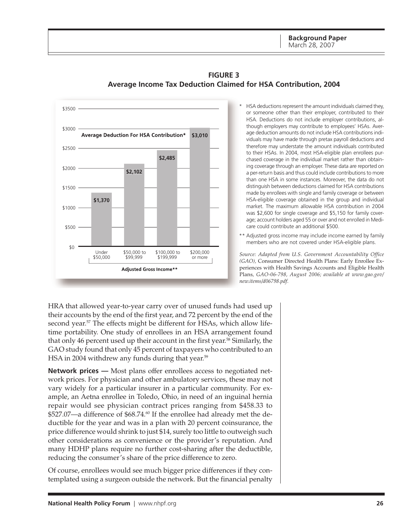**Background Paper** March 28, 2007

<span id="page-25-0"></span>

## **FIGURE 3 Average Income Tax Deduction Claimed for HSA Contribution, 2004**

- HSA deductions represent the amount individuals claimed they, or someone other than their employer, contributed to their HSA. Deductions do not include employer contributions, although employers may contribute to employees' HSAs. Average deduction amounts do not include HSA contributions individuals may have made through pretax payroll deductions and therefore may understate the amount individuals contributed to their HSAs. In 2004, most HSA-eligible plan enrollees purchased coverage in the individual market rather than obtaining coverage through an employer. These data are reported on a per-return basis and thus could include contributions to more than one HSA in some instances. Moreover, the data do not distinguish between deductions claimed for HSA contributions made by enrollees with single and family coverage or between HSA-eligible coverage obtained in the group and individual market. The maximum allowable HSA contribution in 2004 was \$2,600 for single coverage and \$5,150 for family coverage; account holders aged 55 or over and not enrolled in Medicare could contribute an additional \$500.
- \*\* Adjusted gross income may include income earned by family members who are not covered under HSA-eligible plans.

*Source: Adapted from U.S. Government Accountability Office (GAO),* Consumer Directed Health Plans: Early Enrollee Experiences with Health Savings Accounts and Eligible Health Plans*, GAO-06-798, August 2006; available at [www.gao.gov/](http://www.gao.gov) new.items/d06798.pdf.*

HRA that allowed year-to-year carry over of unused funds had used up their accounts by the end of the first year, and 72 percent by the end of the second year.<sup>57</sup> The effects might be different for HSAs, which allow lifetime portability. One study of enrollees in an HSA arrangement found that only 46 percent used up their account in the first year.<sup>58</sup> Similarly, the GAO study found that only 45 percent of taxpayers who contributed to an HSA in 2004 withdrew any funds during that year.<sup>59</sup>

**Network prices —** Most plans offer enrollees access to negotiated network prices. For physician and other ambulatory services, these may not vary widely for a particular insurer in a particular community. For example, an Aetna enrollee in Toledo, Ohio, in need of an inguinal hernia repair would see physician contract prices ranging from \$458.33 to \$527.07—a difference of \$68.74.<sup>60</sup> If the enrollee had already met the deductible for the year and was in a plan with 20 percent coinsurance, the price difference would shrink to just \$14, surely too little to outweigh such other considerations as convenience or the provider's reputation. And many HDHP plans require no further cost-sharing after the deductible, reducing the consumer's share of the price difference to zero.

Of course, enrollees would see much bigger price differences if they contemplated using a surgeon outside the network. But the financial penalty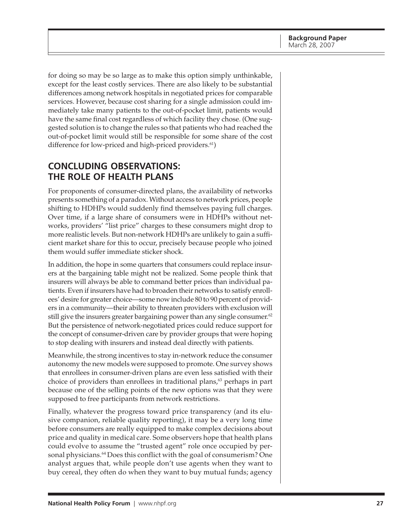<span id="page-26-0"></span>for doing so may be so large as to make this option simply unthinkable, except for the least costly services. There are also likely to be substantial differences among network hospitals in negotiated prices for comparable services. However, because cost sharing for a single admission could immediately take many patients to the out-of-pocket limit, patients would have the same final cost regardless of which facility they chose. (One suggested solution is to change the rules so that patients who had reached the out-of-pocket limit would still be responsible for some share of the cost difference for low-priced and high-priced providers. $61$ )

# **CONCLUDING OBSERVATIONS: THE ROLE OF HEALTH PLANS**

For proponents of consumer-directed plans, the availability of networks presents something of a paradox. Without access to network prices, people shifting to HDHPs would suddenly find themselves paying full charges. Over time, if a large share of consumers were in HDHPs without networks, providers' "list price" charges to these consumers might drop to more realistic levels. But non-network HDHPs are unlikely to gain a sufficient market share for this to occur, precisely because people who joined them would suffer immediate sticker shock.

In addition, the hope in some quarters that consumers could replace insurers at the bargaining table might not be realized. Some people think that insurers will always be able to command better prices than individual patients. Even if insurers have had to broaden their networks to satisfy enrollees' desire for greater choice—some now include 80 to 90 percent of providers in a community—their ability to threaten providers with exclusion will still give the insurers greater bargaining power than any single consumer. $62$ But the persistence of network-negotiated prices could reduce support for the concept of consumer-driven care by provider groups that were hoping to stop dealing with insurers and instead deal directly with patients.

Meanwhile, the strong incentives to stay in-network reduce the consumer autonomy the new models were supposed to promote. One survey shows that enrollees in consumer-driven plans are even less satisfied with their choice of providers than enrollees in traditional plans, $63$  perhaps in part because one of the selling points of the new options was that they were supposed to free participants from network restrictions.

Finally, whatever the progress toward price transparency (and its elusive companion, reliable quality reporting), it may be a very long time before consumers are really equipped to make complex decisions about price and quality in medical care. Some observers hope that health plans could evolve to assume the "trusted agent" role once occupied by personal physicians.<sup>64</sup> Does this conflict with the goal of consumerism? One analyst argues that, while people don't use agents when they want to buy cereal, they often do when they want to buy mutual funds; agency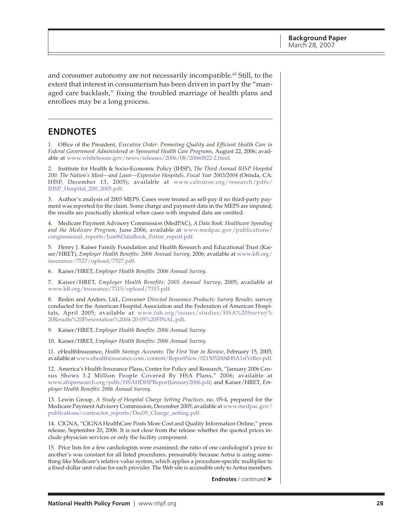<span id="page-27-0"></span>and consumer autonomy are not necessarily incompatible.<sup>65</sup> Still, to the extent that interest in consumerism has been driven in part by the "managed care backlash," fixing the troubled marriage of health plans and enrollees may be a long process.

# **ENDNOTES**

1. Office of the President, *Executive Order: Promoting Quality and Efficient Health Care in Federal Government Administered or Sponsored Health Care Programs,* August 22, 2006; available at [www.whitehouse.gov/news/releases/2006/08/20060822-2.html.](http://www.whitehouse.gov/news/releases/2006/08/20060822-2.html)

2. Institute for Health & Socio-Economic Policy (IHSP), *The Third Annual IHSP Hospital 200: The Nation's Most—and Least—Expensive Hospitals, Fiscal Year 2003/2004* (Orinda, CA: [IHSP, December 13, 2005\); available at www.calnurse.org/research/pdfs/](http://www.calnurse.org/research/pdfs/IHSP_Hospital_200_2005.pdf) IHSP\_Hospital\_200\_2005.pdf.

3. Author's analysis of 2003 MEPS. Cases were treated as self-pay if no third-party payment was reported for the claim. Some charge and payment data in the MEPS are imputed; the results are practically identical when cases with imputed data are omitted.

4. Medicare Payment Advisory Commission (MedPAC), *A Data Book: Healthcare Spending and the Medicare Program*[, June 2006; available at www.medpac.gov/publications/](http://www.medpac.gov/publications/congressional_reports/Jun06DataBook_Entire_report.pdf) congressional\_reports/Jun06DataBook\_Entire\_report.pdf.

5. Henry J. Kaiser Family Foundation and Health Research and Educational Trust (Kaiser/HRET), *[Employer Health Benefits: 2006 Annual Survey](http://www.kff.org/insurance/7527/upload/7527.pdf)*, 2006; available at www.kff.org/ insurance/7527/upload/7527.pdf.

6. Kaiser/HRET, *Employer Health Benefits: 2006 Annual Survey*.

7. Kaiser/HRET, *Employer Health Benefits: 2005 Annual Survey*, 2005; available at [www.kff.org/insurance/7315/upload/7315.pdf.](http://www.kff.org/insurance/7315/upload/7315.pdf)

8. Reden and Anders, Ltd., *Consumer Directed Insurance Products: Survey Results,* survey conducted for the American Hospital Association and the Federation of American Hospi[tals, April 2005; available at www.fah.org/issues/studies/HSA%20Survey%](http://www.fah.org/issues/studies/HSA%20Survey%20Results%20Presentation%2004-20-05%20FINAL.pdf) 20Results%20Presentation%2004-20-05%20FINAL.pdf.

9. Kaiser/HRET, *Employer Health Benefits: 2006 Annual Survey*.

10. Kaiser/HRET, *Employer Health Benefits: 2006 Annual Survey*.

11. eHealthInsurance, *Health Savings Accounts: The First Year in Review*, February 15, 2005; available at [www.ehealthinsurance.com/content/ReportNew/0215052004HSA1stYrRev.pdf.](http://www.ehealthinsurance.com/content/ReportNew/0215052004HSA1stYrRev.pdf)

12. America's Health Insurance Plans, Center for Policy and Research, "January 2006 Census Shows 3.2 Million People Covered By HSA Plans," 2006; available at [www.ahipresearch.org/pdfs/HSAHDHPReportJanuary2006.pdf;](http://www.ahipresearch.org/pdfs/HSAHDHPReportJanuary2006.pdf) and Kaiser/HRET, *Employer Health Benefits: 2006 Annual Survey*.

13. Lewin Group, *A Study of Hospital Charge Setting Practices,* no. 05-4, prepared for the [Medicare Payment Advisory Commission, December 2005; available at www.medpac.gov/](http://www.medpac.gov/publications/contractor_reports/Dec05_Charge_setting.pdf) publications/contractor\_reports/Dec05\_Charge\_setting.pdf.

14. CIGNA, "CIGNA HealthCare Posts More Cost and Quality Information Online," press release, September 20, 2006. It is not clear from the release whether the quoted prices include physician services or only the facility component.

15. Price lists for a few cardiologists were examined; the ratio of one cardiologist's price to another's was constant for all listed procedures, presumably because Aetna is using something like Medicare's relative value system, which applies a procedure-specific multiplier to a fixed-dollar unit value for each provider. The Web site is accessible only to Aetna members.

**Endnotes** / continued ➤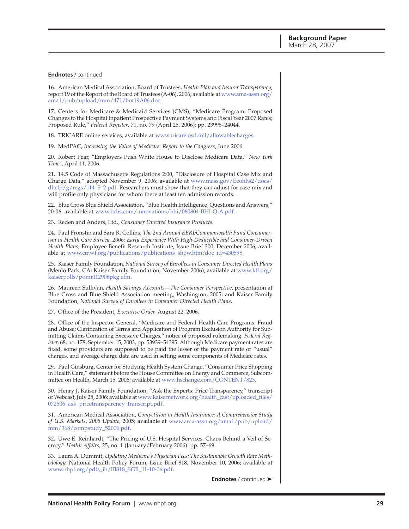#### **Endnotes** / continued

16. American Medical Association, Board of Trustees, *Health Plan and Insurer Transparency*, [report 19 of the Report of the Board of Trustees \(A-06\), 2006; available at www.ama-assn.org/](http://www.ama-assn.org/ama1/pub/upload/mm/471/bot19A06.doc) ama1/pub/upload/mm/471/bot19A06.doc.

17. Centers for Medicare & Medicaid Services (CMS), "Medicare Program; Proposed Changes to the Hospital Inpatient Prospective Payment Systems and Fiscal Year 2007 Rates; Proposed Rule," *Federal Register*, 71, no. 79 (April 25, 2006): pp. 23995–24044.

18. TRICARE online services, available at [www.tricare.osd.mil/allowablecharges.](http://www.tricare.osd.mil/allowablecharges)

19. MedPAC, *Increasing the Value of Medicare: Report to the Congress*, June 2006.

20. Robert Pear, "Employers Push White House to Disclose Medicare Data," *New York Times*, April 11, 2006.

21. 14.5 Code of Massachusetts Regulations 2:00, "Disclosure of Hospital Case Mix and [Charge Data," adopted November 9, 2006; available at www.mass.gov/Eeohhs2/docs/](http://www.mass.gov/Eeohhs2/docs/dhcfp/g/regs/114_5_2.pdf) dhcfp/g/regs/114\_5\_2.pdf. Researchers must show that they can adjust for case mix and will profile only physicians for whom there at least ten admission records.

22. Blue Cross Blue Shield Association, "Blue Health Intelligence, Questions and Answers," 20-06, available at [www.bcbs.com/innovations/bhi/060804-BHI-Q-A.pdf.](http://www.bcbs.com/innovations/bhi/060804-BHI-Q-A.pdf)

23. Reden and Anders, Ltd., *Consumer Directed Insurance Products*.

24. Paul Fronstin and Sara R. Collins, *The 2nd Annual EBRI/Commonwealth Fund Consumerism in Health Care Survey, 2006: Early Experience With High-Deductible and Consumer-Driven Health Plans*, Employee Benefit Research Institute, Issue Brief 300, December 2006; available at [www.cmwf.org/publications/publications\\_show.htm?doc\\_id=430598.](http://www.cmwf.org/publications/publications_show.htm?doc_id=430598)

25. Kaiser Family Foundation, *National Survey of Enrollees in Consumer Directed Health Plans* [\(Menlo Park, CA: Kaiser Family Foundation, November 2006\), available at www.kff.org/](http://www.kff.org/kaiserpolls/pomr112906pkg.cfm) kaiserpolls/pomr112906pkg.cfm.

26. Maureen Sullivan, *Health Savings Accounts—The Consumer Perspective*, presentation at Blue Cross and Blue Shield Association meeting, Washington, 2005; and Kaiser Family Foundation, *National Survey of Enrollees in Consumer Directed Health Plans*.

27. Office of the President, *Executive Order,* August 22, 2006.

28. Office of the Inspector General, "Medicare and Federal Health Care Programs: Fraud and Abuse; Clarification of Terms and Application of Program Exclusion Authority for Submitting Claims Containing Excessive Charges," notice of proposed rulemaking, *Federal Register,* 68, no. 178, September 15, 2003, pp. 53939–54395. Although Medicare payment rates are fixed, some providers are supposed to be paid the lesser of the payment rate or "usual" charges, and average charge data are used in setting some components of Medicare rates.

29. Paul Ginsburg, Center for Studying Health System Change, "Consumer Price Shopping in Health Care," statement before the House Committee on Energy and Commerce, Subcommittee on Health, March 15, 2006; available at [www.hschange.com/CONTENT/823.](http://www.hschange.com/CONTENT/823)

30. Henry J. Kaiser Family Foundation, "Ask the Experts: Price Transparency," transcript [of Webcast, July 25, 2006; available at www.kaisernetwork.org/health\\_cast/uploaded\\_files/](http://www.kaisernetwork.org/health_cast/uploaded_files/072506_ask_pricetransparency_transcript.pdf) 072506\_ask\_pricetransparency\_transcript.pdf.

31. American Medical Association, *Competition in Health Insurance: A Comprehensive Study of U.S. Markets, 2005 Update,* [2005; available at www.ama-assn.org/ama1/pub/upload/](http://www.ama-assn.org/ama1/pub/upload/mm/368/compstudy_52006.pdf) mm/368/compstudy\_52006.pdf.

32. Uwe E. Reinhardt, "The Pricing of U.S. Hospital Services: Chaos Behind a Veil of Secrecy," *Health Affairs,* 25, no. 1 (January/February 2006): pp. 57–69.

33. Laura A. Dummit, *Updating Medicare's Physician Fees: The Sustainable Growth Rate Methodology,* National Health Policy Forum, Issue Brief 818, November 10, 2006; available at [www.nhpf.org/pdfs\\_ib/IB818\\_SGR\\_11-10-06.pdf.](http://www.nhpf.org/pdfs_ib/IB818_SGR_11-10-06.pdf)

**Endnotes** / continued ➤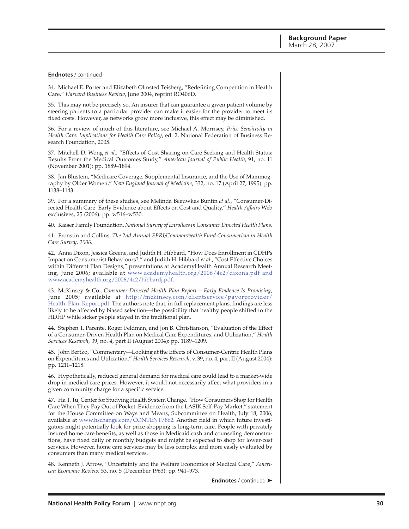#### **Endnotes** / continued

34. Michael E. Porter and Elizabeth Olmsted Teisberg, "Redefining Competition in Health Care," *Harvard Business Review*, June 2004, reprint RO406D.

35. This may not be precisely so. An insurer that can guarantee a given patient volume by steering patients to a particular provider can make it easier for the provider to meet its fixed costs. However, as networks grow more inclusive, this effect may be diminished.

36. For a review of much of this literature, see Michael A. Morrisey, *Price Sensitivity in Health Care: Implications for Health Care Policy*, ed. 2, National Federation of Business Research Foundation, 2005.

37. Mitchell D. Wong *et al*., "Effects of Cost Sharing on Care Seeking and Health Status: Results From the Medical Outcomes Study," *American Journal of Public Health*, 91, no. 11 (November 2001): pp. 1889–1894.

38. Jan Blustein, "Medicare Coverage, Supplemental Insurance, and the Use of Mammography by Older Women," *New England Journal of Medicine*, 332, no. 17 (April 27, 1995): pp. 1138–1143.

39. For a summary of these studies, see Melinda Beeuwkes Buntin *et al*., "Consumer-Directed Health Care: Early Evidence about Effects on Cost and Quality," *Health Affairs* Web exclusives, 25 (2006): pp. w516–w530.

40. Kaiser Family Foundation, *National Survey of Enrollees in Consumer Directed Health Plans*.

41. Fronstin and Collins, *The 2nd Annual EBRI/Commonwealth Fund Consumerism in Health Care Survey, 2006*.

42. Anna Dixon, Jessica Greene, and Judith H. Hibbard, "How Does Enrollment in CDHPs Impact on Consumerist Behaviours?," and Judith H. Hibbard *et al*., "Cost Effective Choices within Different Plan Designs," presentations at AcademyHealth Annual Research Meeting, June 2006; available at [www.academyhealth.org/2006/4c2/dixona.pdf a](http://www.academyhealth.org/2006/4c2/dixona.pdf)nd [www.academyhealth.org/2006/4c2/hibbardj.pdf.](http://www.academyhealth.org/2006/4c2/hibbardj.pdf)

43. McKinsey & Co., *Consumer-Directed Health Plan Report – Early Evidence Is Promising*, [June 2005; available at http://mckinsey.com/clientservice/payorprovider/](http://mckinsey.com/clientservice/payorprovider/Health_Plan_Report.pdf) Health\_Plan\_Report.pdf. The authors note that, in full replacement plans, findings are less likely to be affected by biased selection—the possibility that healthy people shifted to the HDHP while sicker people stayed in the traditional plan.

44. Stephen T. Parente, Roger Feldman, and Jon B. Christianson, "Evaluation of the Effect of a Consumer-Driven Health Plan on Medical Care Expenditures, and Utilization," *Health Services Research,* 39, no. 4, part II (August 2004): pp. 1189–1209.

45. John Bertko, "Commentary—Looking at the Effects of Consumer-Centric Health Plans on Expenditures and Utilization," *Health Services Research*, v. 39, no. 4, part II (August 2004): pp. 1211–1218.

46. Hypothetically, reduced general demand for medical care could lead to a market-wide drop in medical care prices. However, it would not necessarily affect what providers in a given community charge for a specific service.

47. Ha T. Tu, Center for Studying Health System Change, "How Consumers Shop for Health Care When They Pay Out of Pocket: Evidence from the LASIK Self-Pay Market," statement for the House Committee on Ways and Means, Subcommittee on Health, July 18, 2006; available at [www.hschange.com/CONTENT/862.](http://www.hschange.com/CONTENT/862) Another field in which future investigators might potentially look for price-shopping is long-term care. People with privately insured home care benefits, as well as those in Medicaid cash and counseling demonstrations, have fixed daily or monthly budgets and might be expected to shop for lower-cost services. However, home care services may be less complex and more easily evaluated by consumers than many medical services.

48. Kenneth J. Arrow, "Uncertainty and the Welfare Economics of Medical Care," *American Economic Review*, 53, no. 5 (December 1963): pp. 941–973.

**Endnotes** / continued ➤